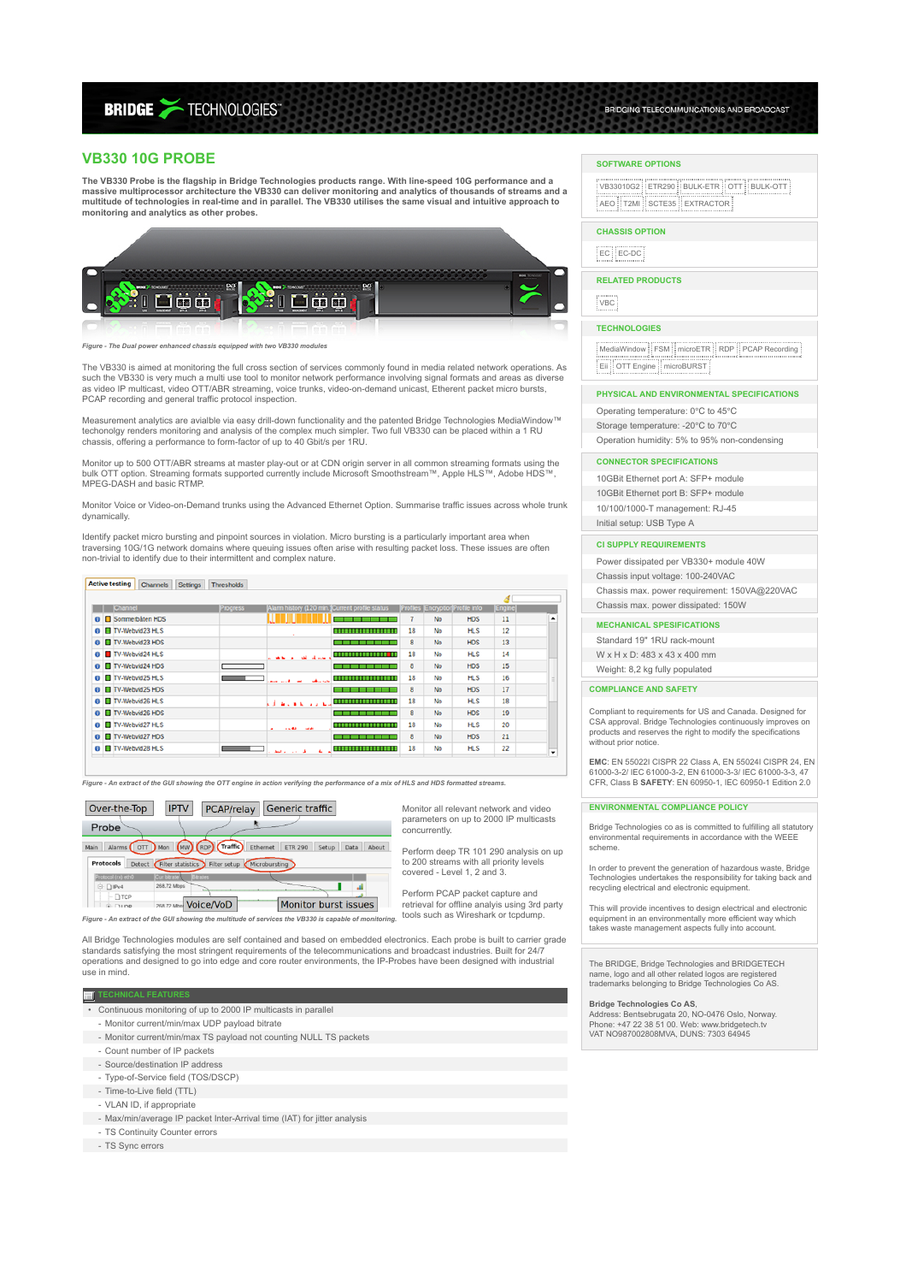# **BRIDGE >TECHNOLOGIES**

# **VB330 10G PROBE**

**The VB330 Probe is the flagship in Bridge Technologies products range. With line-speed 10G performance and a** massive multiprocessor architecture the VB330 can deliver monitoring and analytics of thousands of streams and a<br>multitude of technologies in real-time and in parallel. The VB330 utilises the same visual and intuitive appr **monitoring and analytics as other probes.**



*Figure - The Dual power enhanced chassis equipped with two VB330 modules*

The VB330 is aimed at monitoring the full cross section of services commonly found in media related network operations. As such the VB330 is very much a multi use tool to monitor network performance involving signal formats and areas as diverse<br>as video IP multicast, video OTT/ABR streaming, voice trunks, video-on-demand unicast, Etherent pack PCAP recording and general traffic protocol inspection.

Measurement analytics are avialble via easy drill-down functionality and the patented Bridge Technologies MediaWindow™ techonolgy renders monitoring and analysis of the complex much simpler. Two full VB330 can be placed within a 1 RU chassis, offering a performance to form-factor of up to 40 Gbit/s per 1RU.

Monitor up to 500 OTT/ABR streams at master play-out or at CDN origin server in all common streaming formats using the bulk OTT option. Streaming formats supported currently include Microsoft Smoothstream™, Apple HLS™, Adobe HDS™, MPEG-DASH and basic RTMP.

Monitor Voice or Video-on-Demand trunks using the Advanced Ethernet Option. Summarise traffic issues across whole trunk dynamically.

Identify packet micro bursting and pinpoint sources in violation. Micro bursting is a particularly important area when<br>traversing 10G/1G network domains where queuing issues often arise with resulting packet loss. These is non-trivial to identify due to their intermittent and complex nature.

#### Active testing Channels Setting Thresholds

|                   | Channel                  | <b>Progress</b> | Alarm history (120 min.)Current profile status |                     |    |           | Profiles (Encryption)Profile info | Engine |   |
|-------------------|--------------------------|-----------------|------------------------------------------------|---------------------|----|-----------|-----------------------------------|--------|---|
|                   | <b>O</b> Sommerbåten HDS |                 |                                                |                     |    | No        | <b>HDS</b>                        | 11     |   |
| $\bullet$         | TV-Webvid23 HLS          |                 |                                                | -----------------   | 18 | No        | <b>HLS</b>                        | 12     |   |
| $\bullet$         | TV-Webvid23 HDS          |                 |                                                |                     | 8  | <b>No</b> | <b>HDS</b>                        | 13     |   |
|                   | <b>O</b> TV-Webvid24 HLS |                 | <b>All of the Company</b><br><b>WALL ALL</b>   |                     | 18 | No        | <b>HLS</b>                        | 14     |   |
| $\Omega$          | TV-Webvid24 HDS          |                 |                                                |                     | 8  | No        | <b>HDS</b>                        | 15     |   |
| $\bullet$         | TV-Webvid25 HLS          |                 | <b>SALE STATE</b><br><b>Security Advised</b>   |                     | 18 | No        | <b>HLS</b>                        | 16     |   |
| $\mathbf{\Omega}$ | TV-Webvid25 HDS          |                 |                                                |                     | 8  | No        | <b>HDS</b>                        | 17     |   |
| $\bullet$         | TV-Webvid26 HLS          |                 | بالمتحدث والمتحافظ                             | ,,,,,,,,,,,,,,,,,,, | 18 | No        | <b>HLS</b>                        | 18     |   |
| $\bullet$         | TV-Webvid26 HDS          |                 |                                                |                     | 8  | No        | <b>HDS</b>                        | 19     |   |
| $\bullet$         | TV-Webvid27 HLS          |                 | 14.43<br><b>COMPANY</b><br>٠                   |                     | 18 | No        | <b>HLS</b>                        | 20     |   |
| o                 | TV-Webvid27 HDS          |                 |                                                |                     | 8  | <b>No</b> | <b>HDS</b>                        | 21     |   |
| $\bullet$         | TV-Webvid28 HLS          |                 | a.<br>الأرادين والمطر                          | ------------------  | 18 | No        | <b>HLS</b>                        | 22     | ٠ |

*Figure - An extract of the GUI showing the OTT engine in action verifying the performance of a mix of HLS and HDS formatted streams.*



Monitor all relevant network and video parameters on up to 2000 IP multicasts concurrently.

Perform deep TR 101 290 analysis on up to 200 streams with all priority levels covered - Level 1, 2 and 3.

Perform PCAP packet capture and retrieval for offline analyis using 3rd party tools such as Wireshark or tcpdump.

All Bridge Technologies modules are self contained and based on embedded electronics. Each probe is built to carrier grade standards satisfying the most stringent requirements of the telecommunications and broadcast industries. Built for 24/7 operations and designed to go into edge and core router environments, the IP-Probes have been designed with industrial use in mind.

#### **TECHNICAL FEATUR**

- Continuous monitoring of up to 2000 IP multicasts in parallel
- Monitor current/min/max UDP payload bitrate
- Monitor current/min/max TS payload not counting NULL TS packets
- Count number of IP packets
- Source/destination IP address
- Type-of-Service field (TOS/DSCP)
- 
- Time-to-Live field (TTL)
- VLAN ID, if appropriate
- Max/min/average IP packet Inter-Arrival time (IAT) for jitter analysis
- TS Continuity Counter errors

- TS Sync errors

# **SOFTWARE OPTIONS**

VB33010G2 ETR290 BULK-ETR OTT BULK-OTT AEO T2MI SCTE35 EXTRACTOR

BRIDGING TELECOMMUNCATIONS AND BROADCAST

### **CHASSIS OPTION**

## $EC$   $EC$ -DC

**RELATED PRODUCTS**

VBC

#### **TECHNOLOGIES**

|<br>| MediaWindow || FSM || microETR || RDP || PCAP Recording Eii OTT Engine microBURST

# **PHYSICAL AND ENVIRONMENTAL SPECIFICATIONS**

Operating temperature: 0℃ to 45℃ Storage temperature: -20℃ to 70℃ Operation humidity: 5% to 95% non-condensing

#### **CONNECTOR SPECIFICATIONS**

10GBit Ethernet port A: SFP+ module 10GBit Ethernet port B: SFP+ module 10/100/1000-T management: RJ-45 Initial setup: USB Type A

# **CI SUPPLY REQUIREMENTS**

Power dissipated per VB330+ module 40W Chassis input voltage: 100-240VAC Chassis max. power requirement: 150VA@220VAC Chassis max. power dissipated: 150W

# **MECHANICAL SPESIFICATIONS**

Standard 19" 1RU rack-mount W x H x D: 483 x 43 x 400 mm

Weight: 8,2 kg fully populated

# **COMPLIANCE AND SAFETY**

Compliant to requirements for US and Canada. Designed for CSA approval. Bridge Technologies continuously improves on products and reserves the right to modify the specifications without prior notice.

**EMC**: EN 55022I CISPR 22 Class A, EN 55024I CISPR 24, EN 61000-3-2/ IEC 61000-3-2, EN 61000-3-3/ IEC 61000-3-3, 47 CFR, Class B **SAFETY**: EN 60950-1, IEC 60950-1 Edition 2.0

#### **ENVIRONMENTAL COMPLIANCE POLICY**

Bridge Technologies co as is committed to fulfilling all statutory environmental requirements in accordance with the WEEE scheme.

In order to prevent the generation of hazardous waste, Bridge Technologies undertakes the responsibility for taking back and recycling electrical and electronic equipment.

This will provide incentives to design electrical and electronic equipment in an environmentally more efficient way which takes waste management aspects fully into account.

The BRIDGE, Bridge Technologies and BRIDGETECH name, logo and all other related logos are registered trademarks belonging to Bridge Technologies Co AS.

**Bridge Technologies Co AS**,<br>Address: Bentsebrugata 20, NO-0476 Oslo, Norway.<br>Phone: +47 22 38 51 00. Web: www.bridgetech.tv VAT NO987002808MVA, DUNS: 7303 64945